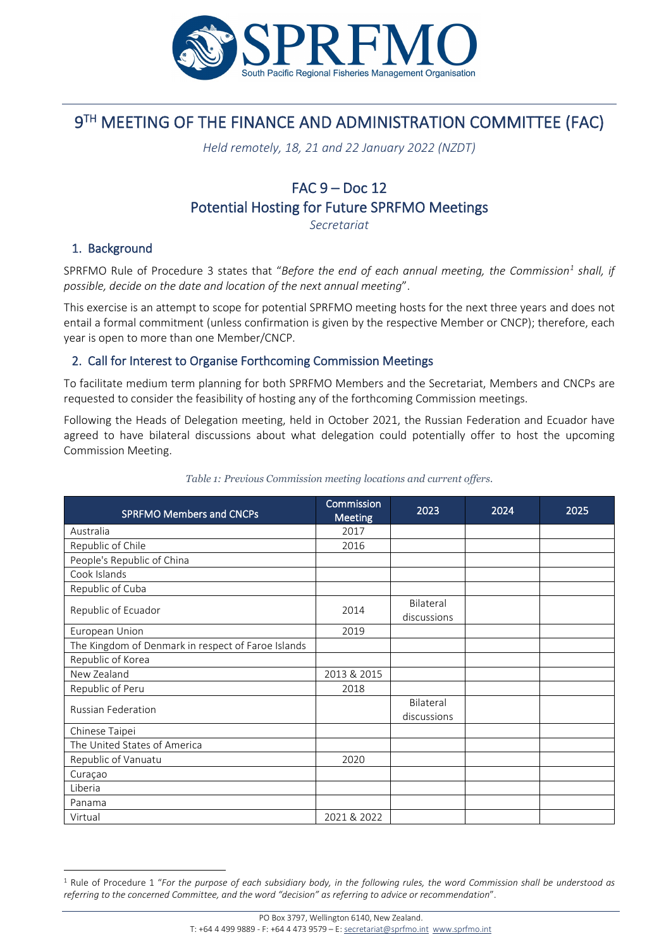

# 9TH MEETING OF THE FINANCE AND ADMINISTRATION COMMITTEE (FAC)

*Held remotely, 18, 21 and 22 January 2022 (NZDT)*

# FAC 9 – Doc 12 Potential Hosting for Future SPRFMO Meetings

*Secretariat*

### 1. Background

SPRFMO Rule of Procedure 3 states that "*Before the end of each annual meeting, the Commission[1](#page-0-0) shall, if possible, decide on the date and location of the next annual meeting*".

This exercise is an attempt to scope for potential SPRFMO meeting hosts for the next three years and does not entail a formal commitment (unless confirmation is given by the respective Member or CNCP); therefore, each year is open to more than one Member/CNCP.

### 2. Call for Interest to Organise Forthcoming Commission Meetings

To facilitate medium term planning for both SPRFMO Members and the Secretariat, Members and CNCPs are requested to consider the feasibility of hosting any of the forthcoming Commission meetings.

Following the Heads of Delegation meeting, held in October 2021, the Russian Federation and Ecuador have agreed to have bilateral discussions about what delegation could potentially offer to host the upcoming Commission Meeting.

| <b>SPRFMO Members and CNCPs</b>                    | Commission<br><b>Meeting</b> | 2023                     | 2024 | 2025 |
|----------------------------------------------------|------------------------------|--------------------------|------|------|
| Australia                                          | 2017                         |                          |      |      |
| Republic of Chile                                  | 2016                         |                          |      |      |
| People's Republic of China                         |                              |                          |      |      |
| Cook Islands                                       |                              |                          |      |      |
| Republic of Cuba                                   |                              |                          |      |      |
| Republic of Ecuador                                | 2014                         | Bilateral<br>discussions |      |      |
| European Union                                     | 2019                         |                          |      |      |
| The Kingdom of Denmark in respect of Faroe Islands |                              |                          |      |      |
| Republic of Korea                                  |                              |                          |      |      |
| New Zealand                                        | 2013 & 2015                  |                          |      |      |
| Republic of Peru                                   | 2018                         |                          |      |      |
| <b>Russian Federation</b>                          |                              | Bilateral<br>discussions |      |      |
| Chinese Taipei                                     |                              |                          |      |      |
| The United States of America                       |                              |                          |      |      |
| Republic of Vanuatu                                | 2020                         |                          |      |      |
| Curaçao                                            |                              |                          |      |      |
| Liberia                                            |                              |                          |      |      |
| Panama                                             |                              |                          |      |      |
| Virtual                                            | 2021 & 2022                  |                          |      |      |

#### *Table 1: Previous Commission meeting locations and current offers.*

<span id="page-0-0"></span><sup>1</sup> Rule of Procedure 1 "*For the purpose of each subsidiary body, in the following rules, the word Commission shall be understood as referring to the concerned Committee, and the word "decision" as referring to advice or recommendation*".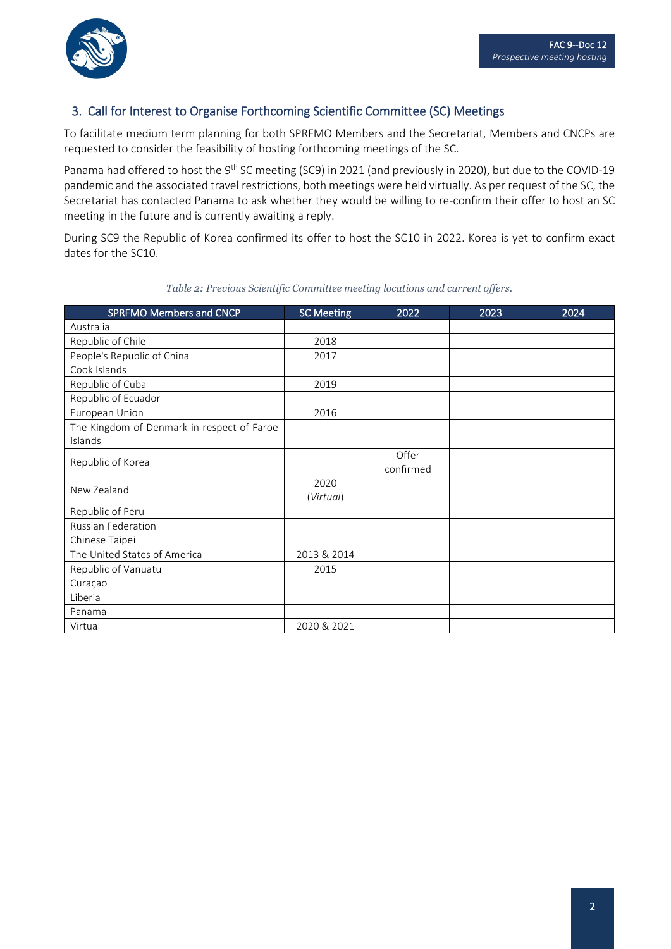## 3. Call for Interest to Organise Forthcoming Scientific Committee (SC) Meetings

To facilitate medium term planning for both SPRFMO Members and the Secretariat, Members and CNCPs are requested to consider the feasibility of hosting forthcoming meetings of the SC.

Panama had offered to host the 9<sup>th</sup> SC meeting (SC9) in 2021 (and previously in 2020), but due to the COVID-19 pandemic and the associated travel restrictions, both meetings were held virtually. As per request of the SC, the Secretariat has contacted Panama to ask whether they would be willing to re-confirm their offer to host an SC meeting in the future and is currently awaiting a reply.

During SC9 the Republic of Korea confirmed its offer to host the SC10 in 2022. Korea is yet to confirm exact dates for the SC10.

| <b>SPRFMO Members and CNCP</b>                        | <b>SC Meeting</b> | 2022               | 2023 | 2024 |
|-------------------------------------------------------|-------------------|--------------------|------|------|
| Australia                                             |                   |                    |      |      |
| Republic of Chile                                     | 2018              |                    |      |      |
| People's Republic of China                            | 2017              |                    |      |      |
| Cook Islands                                          |                   |                    |      |      |
| Republic of Cuba                                      | 2019              |                    |      |      |
| Republic of Ecuador                                   |                   |                    |      |      |
| European Union                                        | 2016              |                    |      |      |
| The Kingdom of Denmark in respect of Faroe<br>Islands |                   |                    |      |      |
| Republic of Korea                                     |                   | Offer<br>confirmed |      |      |
| New Zealand                                           | 2020<br>(Virtual) |                    |      |      |
| Republic of Peru                                      |                   |                    |      |      |
| <b>Russian Federation</b>                             |                   |                    |      |      |
| Chinese Taipei                                        |                   |                    |      |      |
| The United States of America                          | 2013 & 2014       |                    |      |      |
| Republic of Vanuatu                                   | 2015              |                    |      |      |
| Curaçao                                               |                   |                    |      |      |
| Liberia                                               |                   |                    |      |      |
| Panama                                                |                   |                    |      |      |
| Virtual                                               | 2020 & 2021       |                    |      |      |

#### *Table 2: Previous Scientific Committee meeting locations and current offers.*